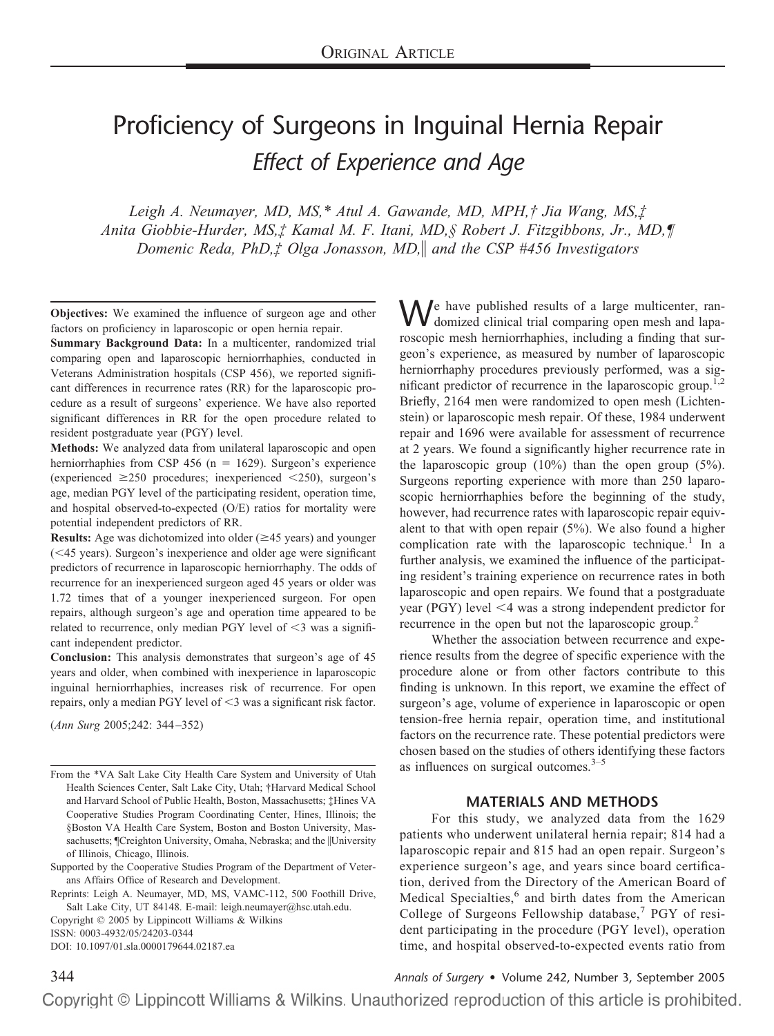# Proficiency of Surgeons in Inguinal Hernia Repair *Effect of Experience and Age*

*Leigh A. Neumayer, MD, MS,\* Atul A. Gawande, MD, MPH,† Jia Wang, MS,‡ Anita Giobbie-Hurder, MS,‡ Kamal M. F. Itani, MD,§ Robert J. Fitzgibbons, Jr., MD,¶ Domenic Reda, PhD,‡ Olga Jonasson, MD, and the CSP #456 Investigators*

**Objectives:** We examined the influence of surgeon age and other factors on proficiency in laparoscopic or open hernia repair.

**Summary Background Data:** In a multicenter, randomized trial comparing open and laparoscopic herniorrhaphies, conducted in Veterans Administration hospitals (CSP 456), we reported significant differences in recurrence rates (RR) for the laparoscopic procedure as a result of surgeons' experience. We have also reported significant differences in RR for the open procedure related to resident postgraduate year (PGY) level.

**Methods:** We analyzed data from unilateral laparoscopic and open herniorrhaphies from CSP 456 ( $n = 1629$ ). Surgeon's experience (experienced  $\geq$ 250 procedures; inexperienced <250), surgeon's age, median PGY level of the participating resident, operation time, and hospital observed-to-expected (O/E) ratios for mortality were potential independent predictors of RR.

**Results:** Age was dichotomized into older  $(\geq 45 \text{ years})$  and younger (<45 years). Surgeon's inexperience and older age were significant predictors of recurrence in laparoscopic herniorrhaphy. The odds of recurrence for an inexperienced surgeon aged 45 years or older was 1.72 times that of a younger inexperienced surgeon. For open repairs, although surgeon's age and operation time appeared to be related to recurrence, only median PGY level of  $\leq$ 3 was a significant independent predictor.

**Conclusion:** This analysis demonstrates that surgeon's age of 45 years and older, when combined with inexperience in laparoscopic inguinal herniorrhaphies, increases risk of recurrence. For open repairs, only a median PGY level of <3 was a significant risk factor.

(*Ann Surg* 2005;242: 344 –352)

Reprints: Leigh A. Neumayer, MD, MS, VAMC-112, 500 Foothill Drive, Salt Lake City, UT 84148. E-mail: leigh.neumayer@hsc.utah.edu.

Copyright © 2005 by Lippincott Williams & Wilkins

ISSN: 0003-4932/05/24203-0344

DOI: 10.1097/01.sla.0000179644.02187.ea

We have published results of a large multicenter, ran-<br>domized clinical trial comparing open mesh and laparoscopic mesh herniorrhaphies, including a finding that surgeon's experience, as measured by number of laparoscopic herniorrhaphy procedures previously performed, was a significant predictor of recurrence in the laparoscopic group.<sup>1,2</sup> Briefly, 2164 men were randomized to open mesh (Lichtenstein) or laparoscopic mesh repair. Of these, 1984 underwent repair and 1696 were available for assessment of recurrence at 2 years. We found a significantly higher recurrence rate in the laparoscopic group  $(10\%)$  than the open group  $(5\%)$ . Surgeons reporting experience with more than 250 laparoscopic herniorrhaphies before the beginning of the study, however, had recurrence rates with laparoscopic repair equivalent to that with open repair (5%). We also found a higher complication rate with the laparoscopic technique.<sup>1</sup> In a further analysis, we examined the influence of the participating resident's training experience on recurrence rates in both laparoscopic and open repairs. We found that a postgraduate year (PGY) level <4 was a strong independent predictor for recurrence in the open but not the laparoscopic group.<sup>2</sup>

Whether the association between recurrence and experience results from the degree of specific experience with the procedure alone or from other factors contribute to this finding is unknown. In this report, we examine the effect of surgeon's age, volume of experience in laparoscopic or open tension-free hernia repair, operation time, and institutional factors on the recurrence rate. These potential predictors were chosen based on the studies of others identifying these factors as influences on surgical outcomes. $3-5$ 

#### **MATERIALS AND METHODS**

For this study, we analyzed data from the 1629 patients who underwent unilateral hernia repair; 814 had a laparoscopic repair and 815 had an open repair. Surgeon's experience surgeon's age, and years since board certification, derived from the Directory of the American Board of Medical Specialties,<sup>6</sup> and birth dates from the American College of Surgeons Fellowship database, $7$  PGY of resident participating in the procedure (PGY level), operation time, and hospital observed-to-expected events ratio from

344 *Annals of Surgery* • Volume 242, Number 3, September 2005

From the \*VA Salt Lake City Health Care System and University of Utah Health Sciences Center, Salt Lake City, Utah; †Harvard Medical School and Harvard School of Public Health, Boston, Massachusetts; ‡Hines VA Cooperative Studies Program Coordinating Center, Hines, Illinois; the §Boston VA Health Care System, Boston and Boston University, Massachusetts; [Creighton University, Omaha, Nebraska; and the ||University of Illinois, Chicago, Illinois.

Supported by the Cooperative Studies Program of the Department of Veterans Affairs Office of Research and Development.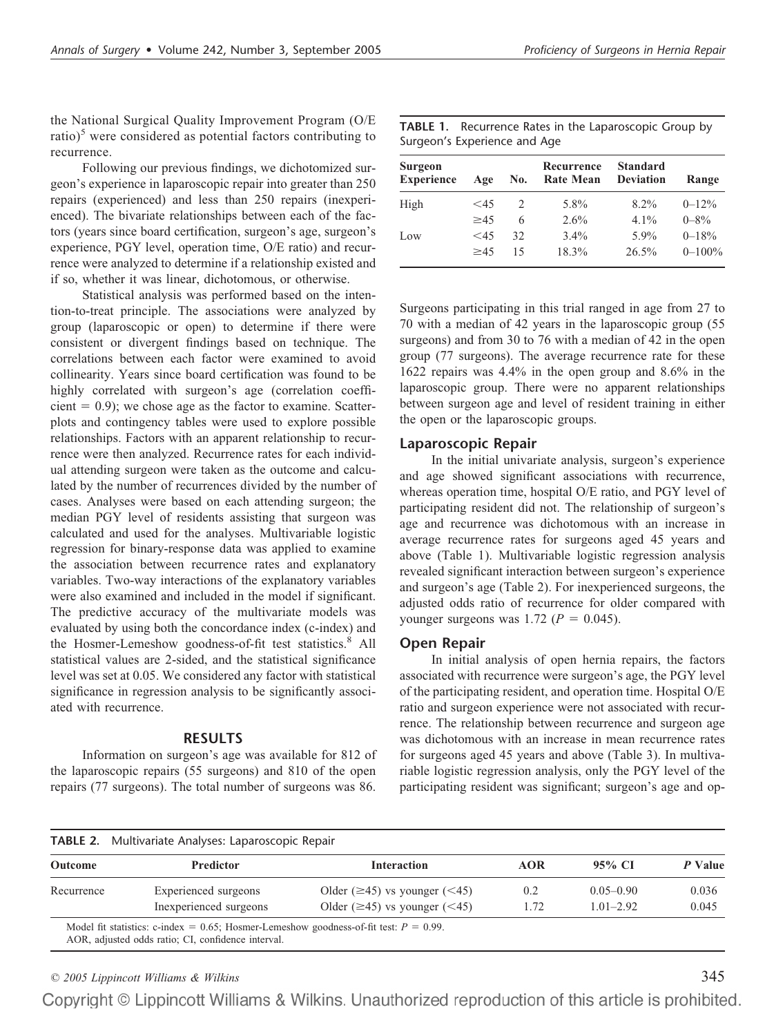the National Surgical Quality Improvement Program (O/E ratio) $5$  were considered as potential factors contributing to recurrence.

Following our previous findings, we dichotomized surgeon's experience in laparoscopic repair into greater than 250 repairs (experienced) and less than 250 repairs (inexperienced). The bivariate relationships between each of the factors (years since board certification, surgeon's age, surgeon's experience, PGY level, operation time, O/E ratio) and recurrence were analyzed to determine if a relationship existed and if so, whether it was linear, dichotomous, or otherwise.

Statistical analysis was performed based on the intention-to-treat principle. The associations were analyzed by group (laparoscopic or open) to determine if there were consistent or divergent findings based on technique. The correlations between each factor were examined to avoid collinearity. Years since board certification was found to be highly correlated with surgeon's age (correlation coefficient  $= 0.9$ ; we chose age as the factor to examine. Scatterplots and contingency tables were used to explore possible relationships. Factors with an apparent relationship to recurrence were then analyzed. Recurrence rates for each individual attending surgeon were taken as the outcome and calculated by the number of recurrences divided by the number of cases. Analyses were based on each attending surgeon; the median PGY level of residents assisting that surgeon was calculated and used for the analyses. Multivariable logistic regression for binary-response data was applied to examine the association between recurrence rates and explanatory variables. Two-way interactions of the explanatory variables were also examined and included in the model if significant. The predictive accuracy of the multivariate models was evaluated by using both the concordance index (c-index) and the Hosmer-Lemeshow goodness-of-fit test statistics.<sup>8</sup> All statistical values are 2-sided, and the statistical significance level was set at 0.05. We considered any factor with statistical significance in regression analysis to be significantly associated with recurrence.

#### **RESULTS**

Information on surgeon's age was available for 812 of the laparoscopic repairs (55 surgeons) and 810 of the open repairs (77 surgeons). The total number of surgeons was 86.

| TABLE 1. Recurrence Rates in the Laparoscopic Group by |
|--------------------------------------------------------|
| Surgeon's Experience and Age                           |

| <b>Surgeon</b><br><b>Experience</b> | Age       | No.           | Recurrence<br>Rate Mean | <b>Standard</b><br><b>Deviation</b> | Range       |
|-------------------------------------|-----------|---------------|-------------------------|-------------------------------------|-------------|
| High                                | $<$ 45    | $\mathcal{L}$ | 5.8%                    | $8.2\%$                             | $0 - 12\%$  |
|                                     | $\geq 45$ | 6             | 2.6%                    | $4.1\%$                             | $0 - 8\%$   |
| Low                                 | $<$ 45    | 32            | $3.4\%$                 | $5.9\%$                             | $0 - 18%$   |
|                                     | $\geq 45$ | 15            | 18.3%                   | 26.5%                               | $0 - 100\%$ |

Surgeons participating in this trial ranged in age from 27 to 70 with a median of 42 years in the laparoscopic group (55 surgeons) and from 30 to 76 with a median of 42 in the open group (77 surgeons). The average recurrence rate for these 1622 repairs was 4.4% in the open group and 8.6% in the laparoscopic group. There were no apparent relationships between surgeon age and level of resident training in either the open or the laparoscopic groups.

#### **Laparoscopic Repair**

In the initial univariate analysis, surgeon's experience and age showed significant associations with recurrence, whereas operation time, hospital O/E ratio, and PGY level of participating resident did not. The relationship of surgeon's age and recurrence was dichotomous with an increase in average recurrence rates for surgeons aged 45 years and above (Table 1). Multivariable logistic regression analysis revealed significant interaction between surgeon's experience and surgeon's age (Table 2). For inexperienced surgeons, the adjusted odds ratio of recurrence for older compared with younger surgeons was 1.72 ( $P = 0.045$ ).

#### **Open Repair**

In initial analysis of open hernia repairs, the factors associated with recurrence were surgeon's age, the PGY level of the participating resident, and operation time. Hospital O/E ratio and surgeon experience were not associated with recurrence. The relationship between recurrence and surgeon age was dichotomous with an increase in mean recurrence rates for surgeons aged 45 years and above (Table 3). In multivariable logistic regression analysis, only the PGY level of the participating resident was significant; surgeon's age and op-

| <b>TABLE 2.</b> Multivariate Analyses: Laparoscopic Repair |                        |                                     |            |               |         |
|------------------------------------------------------------|------------------------|-------------------------------------|------------|---------------|---------|
| <b>Outcome</b>                                             | <b>Predictor</b>       | <b>Interaction</b>                  | <b>AOR</b> | $95\%$ CI     | P Value |
| Recurrence                                                 | Experienced surgeons   | Older ( $\geq$ 45) vs younger (<45) | 0.2        | $0.05 - 0.90$ | 0.036   |
|                                                            | Inexperienced surgeons | Older ( $\geq$ 45) vs younger (<45) | 1.72       | $1.01 - 2.92$ | 0.045   |

AOR, adjusted odds ratio; CI, confidence interval.

*© 2005 Lippincott Williams & Wilkins* 345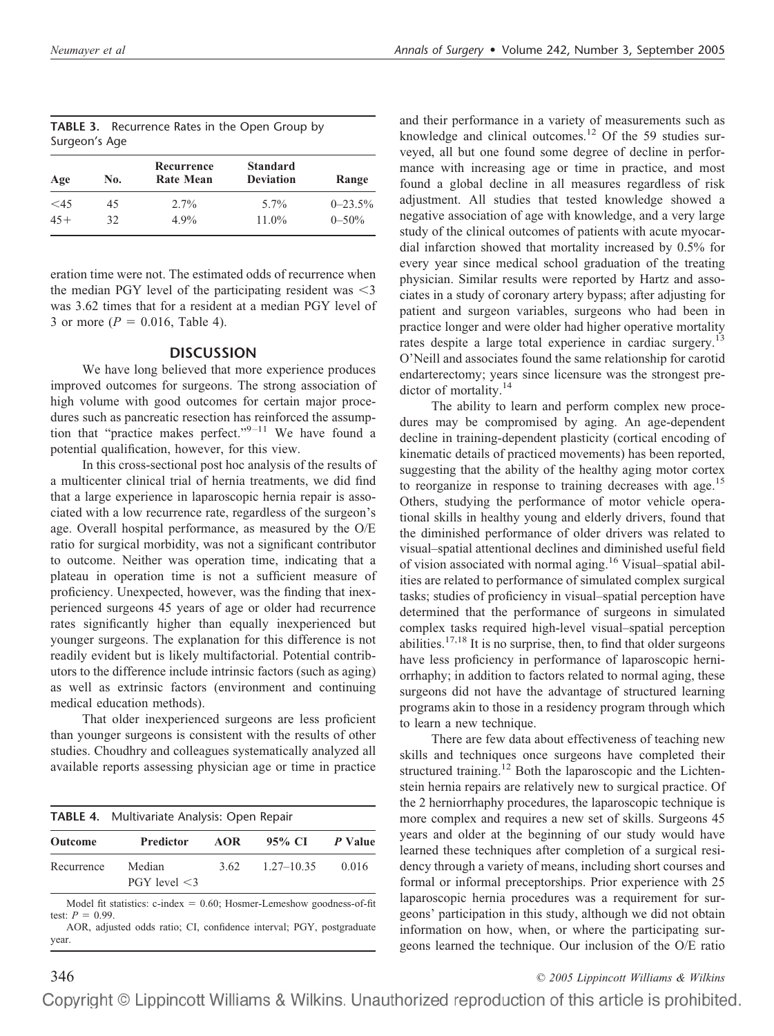|               | <b>TABLE 3.</b> Recurrence Rates in the Open Group by |  |  |  |  |
|---------------|-------------------------------------------------------|--|--|--|--|
| Surgeon's Age |                                                       |  |  |  |  |

| Age       | No. | Recurrence<br><b>Rate Mean</b> | <b>Standard</b><br><b>Deviation</b> | Range        |
|-----------|-----|--------------------------------|-------------------------------------|--------------|
| $\leq$ 45 | 45  | $2.7\%$                        | $5.7\%$                             | $0 - 23.5\%$ |
| $45+$     | 32  | $4.9\%$                        | $11.0\%$                            | $0 - 50\%$   |

eration time were not. The estimated odds of recurrence when the median PGY level of the participating resident was  $\leq$ 3 was 3.62 times that for a resident at a median PGY level of 3 or more ( $P = 0.016$ , Table 4).

#### **DISCUSSION**

We have long believed that more experience produces improved outcomes for surgeons. The strong association of high volume with good outcomes for certain major procedures such as pancreatic resection has reinforced the assumption that "practice makes perfect." $9-11$  We have found a potential qualification, however, for this view.

In this cross-sectional post hoc analysis of the results of a multicenter clinical trial of hernia treatments, we did find that a large experience in laparoscopic hernia repair is associated with a low recurrence rate, regardless of the surgeon's age. Overall hospital performance, as measured by the O/E ratio for surgical morbidity, was not a significant contributor to outcome. Neither was operation time, indicating that a plateau in operation time is not a sufficient measure of proficiency. Unexpected, however, was the finding that inexperienced surgeons 45 years of age or older had recurrence rates significantly higher than equally inexperienced but younger surgeons. The explanation for this difference is not readily evident but is likely multifactorial. Potential contributors to the difference include intrinsic factors (such as aging) as well as extrinsic factors (environment and continuing medical education methods).

That older inexperienced surgeons are less proficient than younger surgeons is consistent with the results of other studies. Choudhry and colleagues systematically analyzed all available reports assessing physician age or time in practice

|                | <b>TABLE 4.</b> Multivariate Analysis: Open Repair |      |              |         |  |
|----------------|----------------------------------------------------|------|--------------|---------|--|
| <b>Outcome</b> | <b>Predictor</b>                                   | AOR  | 95% CI       | P Value |  |
| Recurrence     | Median<br>$PGY$ level $\leq$ 3                     | 3.62 | $1,27-10.35$ | 0.016   |  |

Model fit statistics:  $c$ -index = 0.60; Hosmer-Lemeshow goodness-of-fit test:  $P = 0.99$ .

AOR, adjusted odds ratio; CI, confidence interval; PGY, postgraduate year.

and their performance in a variety of measurements such as knowledge and clinical outcomes.<sup>12</sup> Of the 59 studies surveyed, all but one found some degree of decline in performance with increasing age or time in practice, and most found a global decline in all measures regardless of risk adjustment. All studies that tested knowledge showed a negative association of age with knowledge, and a very large study of the clinical outcomes of patients with acute myocardial infarction showed that mortality increased by 0.5% for every year since medical school graduation of the treating physician. Similar results were reported by Hartz and associates in a study of coronary artery bypass; after adjusting for patient and surgeon variables, surgeons who had been in practice longer and were older had higher operative mortality rates despite a large total experience in cardiac surgery.<sup>13</sup> O'Neill and associates found the same relationship for carotid endarterectomy; years since licensure was the strongest predictor of mortality.<sup>14</sup>

The ability to learn and perform complex new procedures may be compromised by aging. An age-dependent decline in training-dependent plasticity (cortical encoding of kinematic details of practiced movements) has been reported, suggesting that the ability of the healthy aging motor cortex to reorganize in response to training decreases with age.<sup>15</sup> Others, studying the performance of motor vehicle operational skills in healthy young and elderly drivers, found that the diminished performance of older drivers was related to visual–spatial attentional declines and diminished useful field of vision associated with normal aging.<sup>16</sup> Visual–spatial abilities are related to performance of simulated complex surgical tasks; studies of proficiency in visual–spatial perception have determined that the performance of surgeons in simulated complex tasks required high-level visual–spatial perception abilities.<sup>17,18</sup> It is no surprise, then, to find that older surgeons have less proficiency in performance of laparoscopic herniorrhaphy; in addition to factors related to normal aging, these surgeons did not have the advantage of structured learning programs akin to those in a residency program through which to learn a new technique.

There are few data about effectiveness of teaching new skills and techniques once surgeons have completed their structured training.<sup>12</sup> Both the laparoscopic and the Lichtenstein hernia repairs are relatively new to surgical practice. Of the 2 herniorrhaphy procedures, the laparoscopic technique is more complex and requires a new set of skills. Surgeons 45 years and older at the beginning of our study would have learned these techniques after completion of a surgical residency through a variety of means, including short courses and formal or informal preceptorships. Prior experience with 25 laparoscopic hernia procedures was a requirement for surgeons' participation in this study, although we did not obtain information on how, when, or where the participating surgeons learned the technique. Our inclusion of the O/E ratio

346 *© 2005 Lippincott Williams & Wilkins*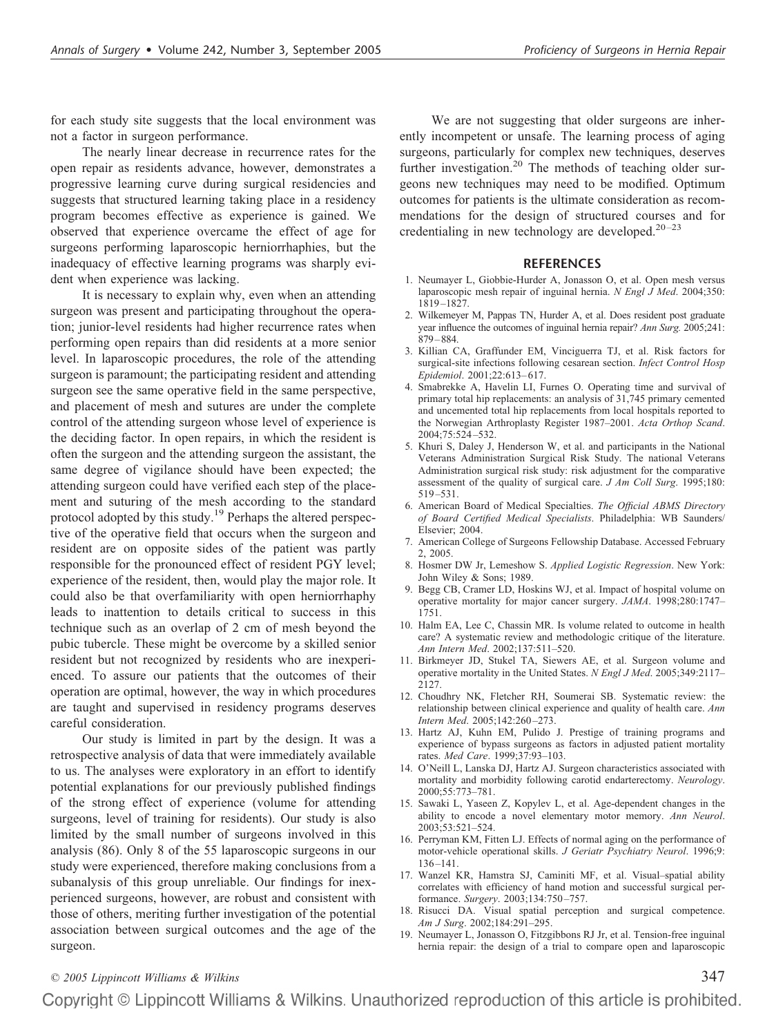for each study site suggests that the local environment was not a factor in surgeon performance.

The nearly linear decrease in recurrence rates for the open repair as residents advance, however, demonstrates a progressive learning curve during surgical residencies and suggests that structured learning taking place in a residency program becomes effective as experience is gained. We observed that experience overcame the effect of age for surgeons performing laparoscopic herniorrhaphies, but the inadequacy of effective learning programs was sharply evident when experience was lacking.

It is necessary to explain why, even when an attending surgeon was present and participating throughout the operation; junior-level residents had higher recurrence rates when performing open repairs than did residents at a more senior level. In laparoscopic procedures, the role of the attending surgeon is paramount; the participating resident and attending surgeon see the same operative field in the same perspective, and placement of mesh and sutures are under the complete control of the attending surgeon whose level of experience is the deciding factor. In open repairs, in which the resident is often the surgeon and the attending surgeon the assistant, the same degree of vigilance should have been expected; the attending surgeon could have verified each step of the placement and suturing of the mesh according to the standard protocol adopted by this study.<sup>19</sup> Perhaps the altered perspective of the operative field that occurs when the surgeon and resident are on opposite sides of the patient was partly responsible for the pronounced effect of resident PGY level; experience of the resident, then, would play the major role. It could also be that overfamiliarity with open herniorrhaphy leads to inattention to details critical to success in this technique such as an overlap of 2 cm of mesh beyond the pubic tubercle. These might be overcome by a skilled senior resident but not recognized by residents who are inexperienced. To assure our patients that the outcomes of their operation are optimal, however, the way in which procedures are taught and supervised in residency programs deserves careful consideration.

Our study is limited in part by the design. It was a retrospective analysis of data that were immediately available to us. The analyses were exploratory in an effort to identify potential explanations for our previously published findings of the strong effect of experience (volume for attending surgeons, level of training for residents). Our study is also limited by the small number of surgeons involved in this analysis (86). Only 8 of the 55 laparoscopic surgeons in our study were experienced, therefore making conclusions from a subanalysis of this group unreliable. Our findings for inexperienced surgeons, however, are robust and consistent with those of others, meriting further investigation of the potential association between surgical outcomes and the age of the surgeon.

We are not suggesting that older surgeons are inherently incompetent or unsafe. The learning process of aging surgeons, particularly for complex new techniques, deserves further investigation.<sup>20</sup> The methods of teaching older surgeons new techniques may need to be modified. Optimum outcomes for patients is the ultimate consideration as recommendations for the design of structured courses and for credentialing in new technology are developed.<sup>20-23</sup>

#### **REFERENCES**

- 1. Neumayer L, Giobbie-Hurder A, Jonasson O, et al. Open mesh versus laparoscopic mesh repair of inguinal hernia. *N Engl J Med*. 2004;350: 1819 –1827.
- 2. Wilkemeyer M, Pappas TN, Hurder A, et al. Does resident post graduate year influence the outcomes of inguinal hernia repair? *Ann Surg.* 2005;241: 879 – 884.
- 3. Killian CA, Graffunder EM, Vinciguerra TJ, et al. Risk factors for surgical-site infections following cesarean section. *Infect Control Hosp Epidemiol*. 2001;22:613– 617.
- 4. Smabrekke A, Havelin LI, Furnes O. Operating time and survival of primary total hip replacements: an analysis of 31,745 primary cemented and uncemented total hip replacements from local hospitals reported to the Norwegian Arthroplasty Register 1987–2001. *Acta Orthop Scand*. 2004;75:524 –532.
- 5. Khuri S, Daley J, Henderson W, et al. and participants in the National Veterans Administration Surgical Risk Study. The national Veterans Administration surgical risk study: risk adjustment for the comparative assessment of the quality of surgical care. *J Am Coll Surg*. 1995;180: 519 –531.
- 6. American Board of Medical Specialties. *The Official ABMS Directory of Board Certified Medical Specialists*. Philadelphia: WB Saunders/ Elsevier; 2004.
- 7. American College of Surgeons Fellowship Database. Accessed February 2, 2005.
- 8. Hosmer DW Jr, Lemeshow S. *Applied Logistic Regression*. New York: John Wiley & Sons; 1989.
- 9. Begg CB, Cramer LD, Hoskins WJ, et al. Impact of hospital volume on operative mortality for major cancer surgery. *JAMA*. 1998;280:1747– 1751.
- 10. Halm EA, Lee C, Chassin MR. Is volume related to outcome in health care? A systematic review and methodologic critique of the literature. *Ann Intern Med*. 2002;137:511–520.
- 11. Birkmeyer JD, Stukel TA, Siewers AE, et al. Surgeon volume and operative mortality in the United States. *N Engl J Med*. 2005;349:2117– 2127.
- 12. Choudhry NK, Fletcher RH, Soumerai SB. Systematic review: the relationship between clinical experience and quality of health care. *Ann Intern Med*. 2005;142:260 –273.
- 13. Hartz AJ, Kuhn EM, Pulido J. Prestige of training programs and experience of bypass surgeons as factors in adjusted patient mortality rates. *Med Care*. 1999;37:93–103.
- 14. O'Neill L, Lanska DJ, Hartz AJ. Surgeon characteristics associated with mortality and morbidity following carotid endarterectomy. *Neurology*. 2000;55:773–781.
- 15. Sawaki L, Yaseen Z, Kopylev L, et al. Age-dependent changes in the ability to encode a novel elementary motor memory. *Ann Neurol*. 2003;53:521–524.
- 16. Perryman KM, Fitten LJ. Effects of normal aging on the performance of motor-vehicle operational skills. *J Geriatr Psychiatry Neurol*. 1996;9:  $136 - 141$ .
- 17. Wanzel KR, Hamstra SJ, Caminiti MF, et al. Visual–spatial ability correlates with efficiency of hand motion and successful surgical performance. *Surgery*. 2003;134:750 –757.
- 18. Risucci DA. Visual spatial perception and surgical competence. *Am J Surg*. 2002;184:291–295.
- 19. Neumayer L, Jonasson O, Fitzgibbons RJ Jr, et al. Tension-free inguinal hernia repair: the design of a trial to compare open and laparoscopic

#### *© 2005 Lippincott Williams & Wilkins* 347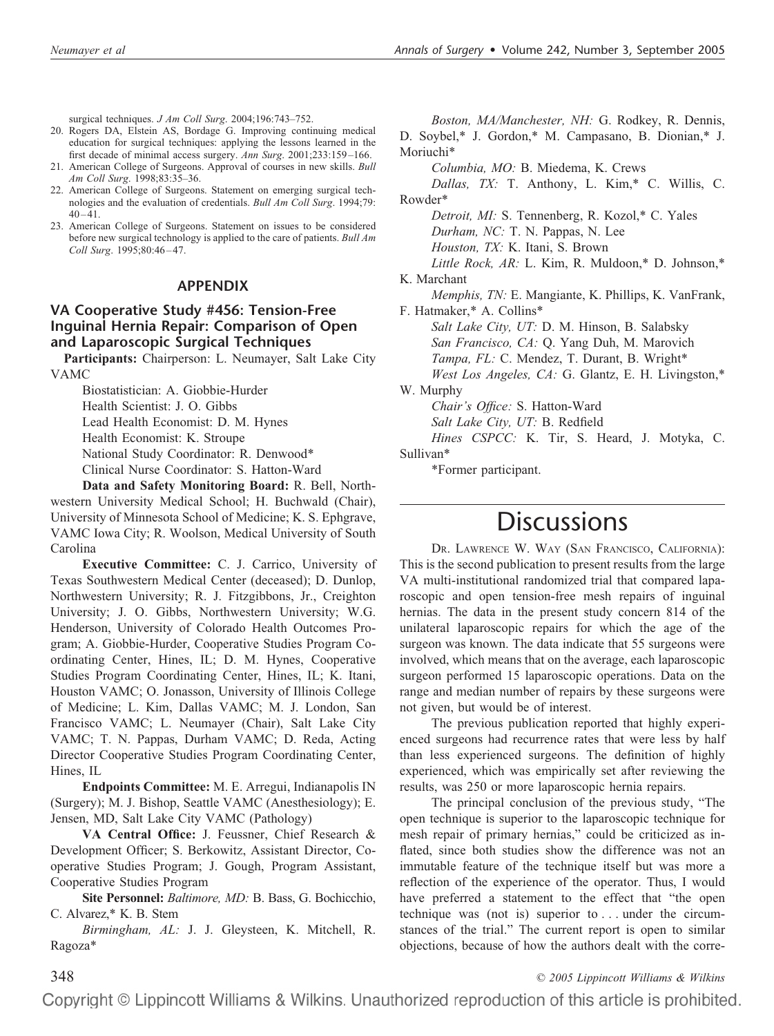surgical techniques. *J Am Coll Surg*. 2004;196:743–752.

- 20. Rogers DA, Elstein AS, Bordage G. Improving continuing medical education for surgical techniques: applying the lessons learned in the first decade of minimal access surgery. *Ann Surg*. 2001;233:159 –166.
- 21. American College of Surgeons. Approval of courses in new skills. *Bull Am Coll Surg*. 1998;83:35–36.
- 22. American College of Surgeons. Statement on emerging surgical technologies and the evaluation of credentials. *Bull Am Coll Surg*. 1994;79:  $40 - 41$ .
- 23. American College of Surgeons. Statement on issues to be considered before new surgical technology is applied to the care of patients. *Bull Am Coll Surg*. 1995;80:46 – 47.

#### **APPENDIX**

### **VA Cooperative Study #456: Tension-Free Inguinal Hernia Repair: Comparison of Open and Laparoscopic Surgical Techniques**

**Participants:** Chairperson: L. Neumayer, Salt Lake City VAMC

Biostatistician: A. Giobbie-Hurder Health Scientist: J. O. Gibbs Lead Health Economist: D. M. Hynes Health Economist: K. Stroupe National Study Coordinator: R. Denwood\* Clinical Nurse Coordinator: S. Hatton-Ward

**Data and Safety Monitoring Board:** R. Bell, Northwestern University Medical School; H. Buchwald (Chair), University of Minnesota School of Medicine; K. S. Ephgrave, VAMC Iowa City; R. Woolson, Medical University of South Carolina

**Executive Committee:** C. J. Carrico, University of Texas Southwestern Medical Center (deceased); D. Dunlop, Northwestern University; R. J. Fitzgibbons, Jr., Creighton University; J. O. Gibbs, Northwestern University; W.G. Henderson, University of Colorado Health Outcomes Program; A. Giobbie-Hurder, Cooperative Studies Program Coordinating Center, Hines, IL; D. M. Hynes, Cooperative Studies Program Coordinating Center, Hines, IL; K. Itani, Houston VAMC; O. Jonasson, University of Illinois College of Medicine; L. Kim, Dallas VAMC; M. J. London, San Francisco VAMC; L. Neumayer (Chair), Salt Lake City VAMC; T. N. Pappas, Durham VAMC; D. Reda, Acting Director Cooperative Studies Program Coordinating Center, Hines, IL

**Endpoints Committee:** M. E. Arregui, Indianapolis IN (Surgery); M. J. Bishop, Seattle VAMC (Anesthesiology); E. Jensen, MD, Salt Lake City VAMC (Pathology)

**VA Central Office:** J. Feussner, Chief Research & Development Officer; S. Berkowitz, Assistant Director, Cooperative Studies Program; J. Gough, Program Assistant, Cooperative Studies Program

**Site Personnel:** *Baltimore, MD:* B. Bass, G. Bochicchio, C. Alvarez,\* K. B. Stem

*Birmingham, AL:* J. J. Gleysteen, K. Mitchell, R. Ragoza\*

*Boston, MA/Manchester, NH:* G. Rodkey, R. Dennis, D. Soybel,\* J. Gordon,\* M. Campasano, B. Dionian,\* J. Moriuchi\*

*Columbia, MO:* B. Miedema, K. Crews

*Dallas, TX:* T. Anthony, L. Kim,\* C. Willis, C. Rowder\*

*Detroit, MI:* S. Tennenberg, R. Kozol,\* C. Yales

*Durham, NC:* T. N. Pappas, N. Lee

*Houston, TX:* K. Itani, S. Brown

*Little Rock, AR:* L. Kim, R. Muldoon,\* D. Johnson,\* K. Marchant

*Memphis, TN:* E. Mangiante, K. Phillips, K. VanFrank, F. Hatmaker,\* A. Collins\*

*Salt Lake City, UT:* D. M. Hinson, B. Salabsky

*San Francisco, CA:* Q. Yang Duh, M. Marovich

*Tampa, FL:* C. Mendez, T. Durant, B. Wright\*

*West Los Angeles, CA:* G. Glantz, E. H. Livingston,\* W. Murphy

*Chair's Office:* S. Hatton-Ward

*Salt Lake City, UT:* B. Redfield

*Hines CSPCC:* K. Tir, S. Heard, J. Motyka, C. Sullivan\*

\*Former participant.

## **Discussions**

DR. LAWRENCE W. WAY (SAN FRANCISCO, CALIFORNIA): This is the second publication to present results from the large VA multi-institutional randomized trial that compared laparoscopic and open tension-free mesh repairs of inguinal hernias. The data in the present study concern 814 of the unilateral laparoscopic repairs for which the age of the surgeon was known. The data indicate that 55 surgeons were involved, which means that on the average, each laparoscopic surgeon performed 15 laparoscopic operations. Data on the range and median number of repairs by these surgeons were not given, but would be of interest.

The previous publication reported that highly experienced surgeons had recurrence rates that were less by half than less experienced surgeons. The definition of highly experienced, which was empirically set after reviewing the results, was 250 or more laparoscopic hernia repairs.

The principal conclusion of the previous study, "The open technique is superior to the laparoscopic technique for mesh repair of primary hernias," could be criticized as inflated, since both studies show the difference was not an immutable feature of the technique itself but was more a reflection of the experience of the operator. Thus, I would have preferred a statement to the effect that "the open technique was (not is) superior to... under the circumstances of the trial." The current report is open to similar objections, because of how the authors dealt with the corre-

348 *© 2005 Lippincott Williams & Wilkins*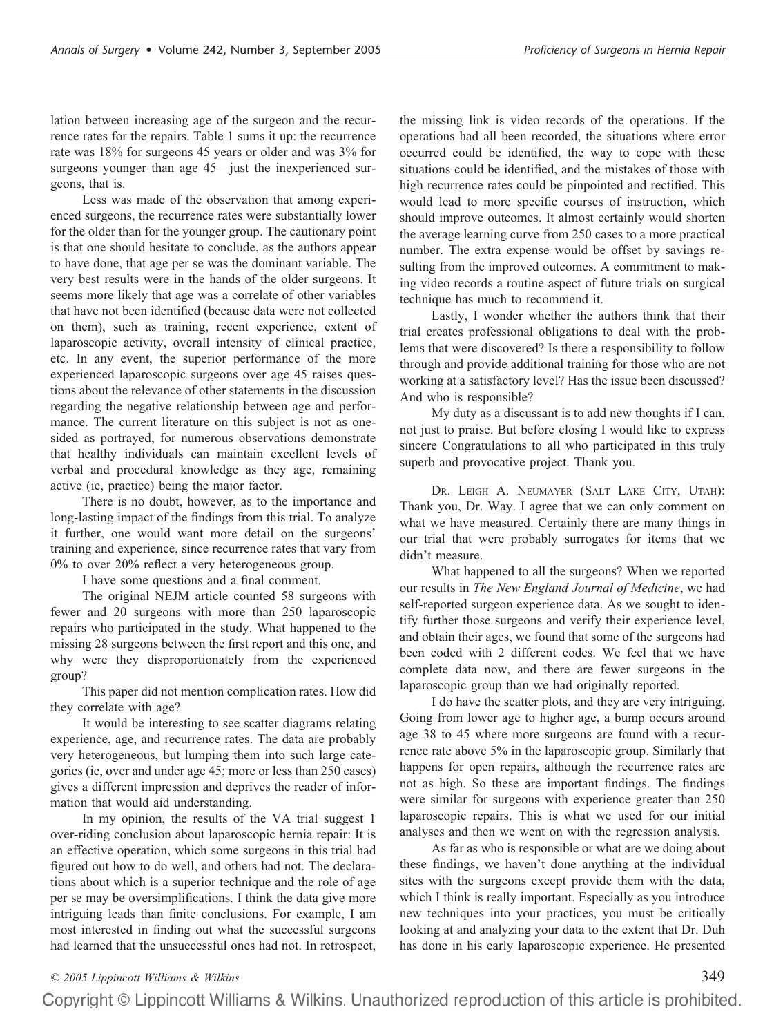lation between increasing age of the surgeon and the recurrence rates for the repairs. Table 1 sums it up: the recurrence rate was 18% for surgeons 45 years or older and was 3% for surgeons younger than age 45—just the inexperienced surgeons, that is.

Less was made of the observation that among experienced surgeons, the recurrence rates were substantially lower for the older than for the younger group. The cautionary point is that one should hesitate to conclude, as the authors appear to have done, that age per se was the dominant variable. The very best results were in the hands of the older surgeons. It seems more likely that age was a correlate of other variables that have not been identified (because data were not collected on them), such as training, recent experience, extent of laparoscopic activity, overall intensity of clinical practice, etc. In any event, the superior performance of the more experienced laparoscopic surgeons over age 45 raises questions about the relevance of other statements in the discussion regarding the negative relationship between age and performance. The current literature on this subject is not as onesided as portrayed, for numerous observations demonstrate that healthy individuals can maintain excellent levels of verbal and procedural knowledge as they age, remaining active (ie, practice) being the major factor.

There is no doubt, however, as to the importance and long-lasting impact of the findings from this trial. To analyze it further, one would want more detail on the surgeons' training and experience, since recurrence rates that vary from 0% to over 20% reflect a very heterogeneous group.

I have some questions and a final comment.

The original NEJM article counted 58 surgeons with fewer and 20 surgeons with more than 250 laparoscopic repairs who participated in the study. What happened to the missing 28 surgeons between the first report and this one, and why were they disproportionately from the experienced group?

This paper did not mention complication rates. How did they correlate with age?

It would be interesting to see scatter diagrams relating experience, age, and recurrence rates. The data are probably very heterogeneous, but lumping them into such large categories (ie, over and under age 45; more or less than 250 cases) gives a different impression and deprives the reader of information that would aid understanding.

In my opinion, the results of the VA trial suggest 1 over-riding conclusion about laparoscopic hernia repair: It is an effective operation, which some surgeons in this trial had figured out how to do well, and others had not. The declarations about which is a superior technique and the role of age per se may be oversimplifications. I think the data give more intriguing leads than finite conclusions. For example, I am most interested in finding out what the successful surgeons had learned that the unsuccessful ones had not. In retrospect, the missing link is video records of the operations. If the operations had all been recorded, the situations where error occurred could be identified, the way to cope with these situations could be identified, and the mistakes of those with high recurrence rates could be pinpointed and rectified. This would lead to more specific courses of instruction, which should improve outcomes. It almost certainly would shorten the average learning curve from 250 cases to a more practical number. The extra expense would be offset by savings resulting from the improved outcomes. A commitment to making video records a routine aspect of future trials on surgical technique has much to recommend it.

Lastly, I wonder whether the authors think that their trial creates professional obligations to deal with the problems that were discovered? Is there a responsibility to follow through and provide additional training for those who are not working at a satisfactory level? Has the issue been discussed? And who is responsible?

My duty as a discussant is to add new thoughts if I can, not just to praise. But before closing I would like to express sincere Congratulations to all who participated in this truly superb and provocative project. Thank you.

DR. LEIGH A. NEUMAYER (SALT LAKE CITY, UTAH): Thank you, Dr. Way. I agree that we can only comment on what we have measured. Certainly there are many things in our trial that were probably surrogates for items that we didn't measure.

What happened to all the surgeons? When we reported our results in *The New England Journal of Medicine*, we had self-reported surgeon experience data. As we sought to identify further those surgeons and verify their experience level, and obtain their ages, we found that some of the surgeons had been coded with 2 different codes. We feel that we have complete data now, and there are fewer surgeons in the laparoscopic group than we had originally reported.

I do have the scatter plots, and they are very intriguing. Going from lower age to higher age, a bump occurs around age 38 to 45 where more surgeons are found with a recurrence rate above 5% in the laparoscopic group. Similarly that happens for open repairs, although the recurrence rates are not as high. So these are important findings. The findings were similar for surgeons with experience greater than 250 laparoscopic repairs. This is what we used for our initial analyses and then we went on with the regression analysis.

As far as who is responsible or what are we doing about these findings, we haven't done anything at the individual sites with the surgeons except provide them with the data, which I think is really important. Especially as you introduce new techniques into your practices, you must be critically looking at and analyzing your data to the extent that Dr. Duh has done in his early laparoscopic experience. He presented

#### *© 2005 Lippincott Williams & Wilkins* 349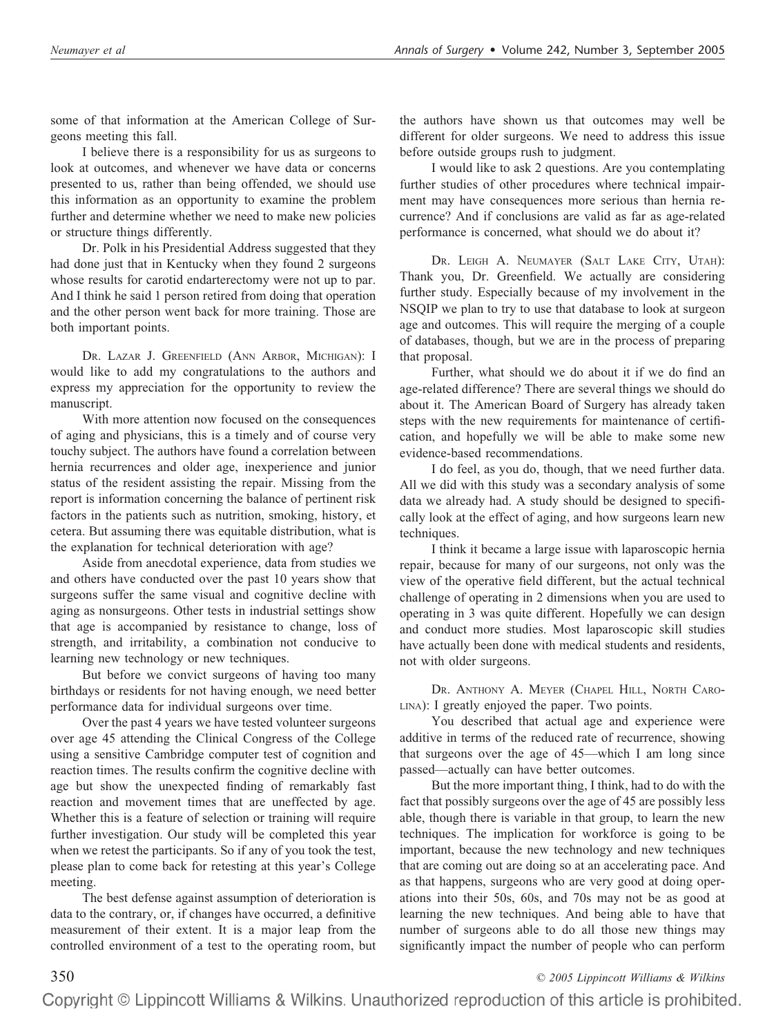some of that information at the American College of Surgeons meeting this fall.

I believe there is a responsibility for us as surgeons to look at outcomes, and whenever we have data or concerns presented to us, rather than being offended, we should use this information as an opportunity to examine the problem further and determine whether we need to make new policies or structure things differently.

Dr. Polk in his Presidential Address suggested that they had done just that in Kentucky when they found 2 surgeons whose results for carotid endarterectomy were not up to par. And I think he said 1 person retired from doing that operation and the other person went back for more training. Those are both important points.

DR. LAZAR J. GREENFIELD (ANN ARBOR, MICHIGAN): I would like to add my congratulations to the authors and express my appreciation for the opportunity to review the manuscript.

With more attention now focused on the consequences of aging and physicians, this is a timely and of course very touchy subject. The authors have found a correlation between hernia recurrences and older age, inexperience and junior status of the resident assisting the repair. Missing from the report is information concerning the balance of pertinent risk factors in the patients such as nutrition, smoking, history, et cetera. But assuming there was equitable distribution, what is the explanation for technical deterioration with age?

Aside from anecdotal experience, data from studies we and others have conducted over the past 10 years show that surgeons suffer the same visual and cognitive decline with aging as nonsurgeons. Other tests in industrial settings show that age is accompanied by resistance to change, loss of strength, and irritability, a combination not conducive to learning new technology or new techniques.

But before we convict surgeons of having too many birthdays or residents for not having enough, we need better performance data for individual surgeons over time.

Over the past 4 years we have tested volunteer surgeons over age 45 attending the Clinical Congress of the College using a sensitive Cambridge computer test of cognition and reaction times. The results confirm the cognitive decline with age but show the unexpected finding of remarkably fast reaction and movement times that are uneffected by age. Whether this is a feature of selection or training will require further investigation. Our study will be completed this year when we retest the participants. So if any of you took the test, please plan to come back for retesting at this year's College meeting.

The best defense against assumption of deterioration is data to the contrary, or, if changes have occurred, a definitive measurement of their extent. It is a major leap from the controlled environment of a test to the operating room, but the authors have shown us that outcomes may well be different for older surgeons. We need to address this issue before outside groups rush to judgment.

I would like to ask 2 questions. Are you contemplating further studies of other procedures where technical impairment may have consequences more serious than hernia recurrence? And if conclusions are valid as far as age-related performance is concerned, what should we do about it?

DR. LEIGH A. NEUMAYER (SALT LAKE CITY, UTAH): Thank you, Dr. Greenfield. We actually are considering further study. Especially because of my involvement in the NSQIP we plan to try to use that database to look at surgeon age and outcomes. This will require the merging of a couple of databases, though, but we are in the process of preparing that proposal.

Further, what should we do about it if we do find an age-related difference? There are several things we should do about it. The American Board of Surgery has already taken steps with the new requirements for maintenance of certification, and hopefully we will be able to make some new evidence-based recommendations.

I do feel, as you do, though, that we need further data. All we did with this study was a secondary analysis of some data we already had. A study should be designed to specifically look at the effect of aging, and how surgeons learn new techniques.

I think it became a large issue with laparoscopic hernia repair, because for many of our surgeons, not only was the view of the operative field different, but the actual technical challenge of operating in 2 dimensions when you are used to operating in 3 was quite different. Hopefully we can design and conduct more studies. Most laparoscopic skill studies have actually been done with medical students and residents, not with older surgeons.

DR. ANTHONY A. MEYER (CHAPEL HILL, NORTH CARO-LINA): I greatly enjoyed the paper. Two points.

You described that actual age and experience were additive in terms of the reduced rate of recurrence, showing that surgeons over the age of 45—which I am long since passed—actually can have better outcomes.

But the more important thing, I think, had to do with the fact that possibly surgeons over the age of 45 are possibly less able, though there is variable in that group, to learn the new techniques. The implication for workforce is going to be important, because the new technology and new techniques that are coming out are doing so at an accelerating pace. And as that happens, surgeons who are very good at doing operations into their 50s, 60s, and 70s may not be as good at learning the new techniques. And being able to have that number of surgeons able to do all those new things may significantly impact the number of people who can perform

350 *© 2005 Lippincott Williams & Wilkins*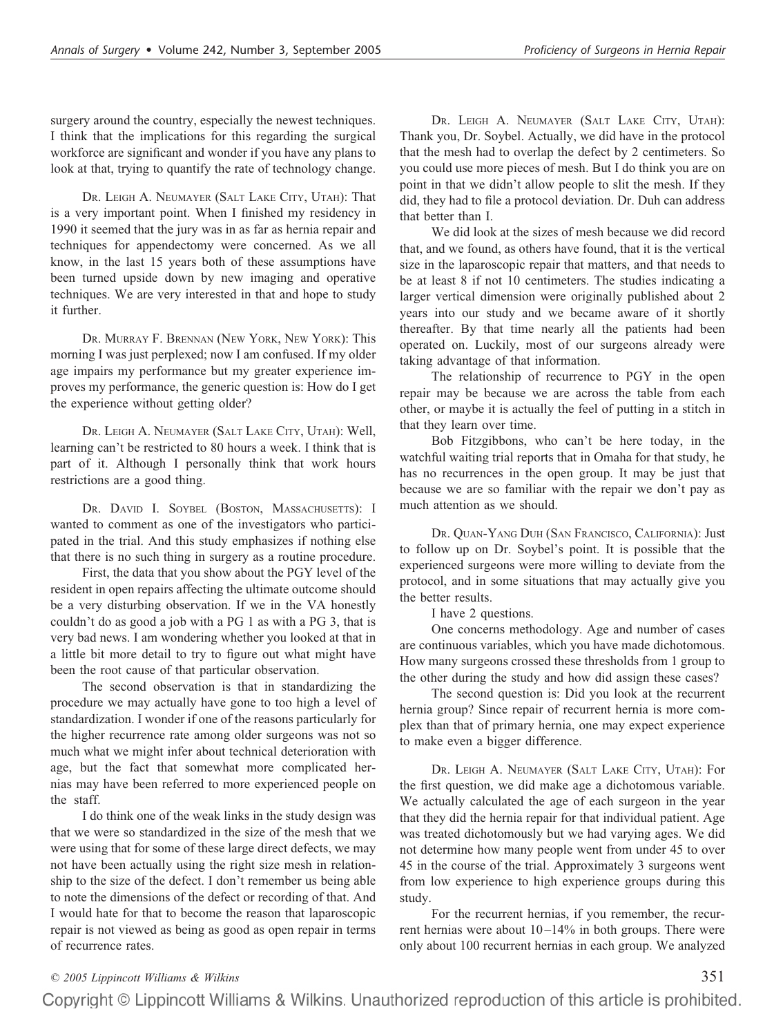surgery around the country, especially the newest techniques. I think that the implications for this regarding the surgical workforce are significant and wonder if you have any plans to look at that, trying to quantify the rate of technology change.

DR. LEIGH A. NEUMAYER (SALT LAKE CITY, UTAH): That is a very important point. When I finished my residency in 1990 it seemed that the jury was in as far as hernia repair and techniques for appendectomy were concerned. As we all know, in the last 15 years both of these assumptions have been turned upside down by new imaging and operative techniques. We are very interested in that and hope to study it further.

DR. MURRAY F. BRENNAN (NEW YORK, NEW YORK): This morning I was just perplexed; now I am confused. If my older age impairs my performance but my greater experience improves my performance, the generic question is: How do I get the experience without getting older?

DR. LEIGH A. NEUMAYER (SALT LAKE CITY, UTAH): Well, learning can't be restricted to 80 hours a week. I think that is part of it. Although I personally think that work hours restrictions are a good thing.

DR. DAVID I. SOYBEL (BOSTON, MASSACHUSETTS): I wanted to comment as one of the investigators who participated in the trial. And this study emphasizes if nothing else that there is no such thing in surgery as a routine procedure.

First, the data that you show about the PGY level of the resident in open repairs affecting the ultimate outcome should be a very disturbing observation. If we in the VA honestly couldn't do as good a job with a PG 1 as with a PG 3, that is very bad news. I am wondering whether you looked at that in a little bit more detail to try to figure out what might have been the root cause of that particular observation.

The second observation is that in standardizing the procedure we may actually have gone to too high a level of standardization. I wonder if one of the reasons particularly for the higher recurrence rate among older surgeons was not so much what we might infer about technical deterioration with age, but the fact that somewhat more complicated hernias may have been referred to more experienced people on the staff.

I do think one of the weak links in the study design was that we were so standardized in the size of the mesh that we were using that for some of these large direct defects, we may not have been actually using the right size mesh in relationship to the size of the defect. I don't remember us being able to note the dimensions of the defect or recording of that. And I would hate for that to become the reason that laparoscopic repair is not viewed as being as good as open repair in terms of recurrence rates.

DR. LEIGH A. NEUMAYER (SALT LAKE CITY, UTAH): Thank you, Dr. Soybel. Actually, we did have in the protocol that the mesh had to overlap the defect by 2 centimeters. So you could use more pieces of mesh. But I do think you are on point in that we didn't allow people to slit the mesh. If they did, they had to file a protocol deviation. Dr. Duh can address that better than I.

We did look at the sizes of mesh because we did record that, and we found, as others have found, that it is the vertical size in the laparoscopic repair that matters, and that needs to be at least 8 if not 10 centimeters. The studies indicating a larger vertical dimension were originally published about 2 years into our study and we became aware of it shortly thereafter. By that time nearly all the patients had been operated on. Luckily, most of our surgeons already were taking advantage of that information.

The relationship of recurrence to PGY in the open repair may be because we are across the table from each other, or maybe it is actually the feel of putting in a stitch in that they learn over time.

Bob Fitzgibbons, who can't be here today, in the watchful waiting trial reports that in Omaha for that study, he has no recurrences in the open group. It may be just that because we are so familiar with the repair we don't pay as much attention as we should.

DR. QUAN-YANG DUH (SAN FRANCISCO, CALIFORNIA): Just to follow up on Dr. Soybel's point. It is possible that the experienced surgeons were more willing to deviate from the protocol, and in some situations that may actually give you the better results.

I have 2 questions.

One concerns methodology. Age and number of cases are continuous variables, which you have made dichotomous. How many surgeons crossed these thresholds from 1 group to the other during the study and how did assign these cases?

The second question is: Did you look at the recurrent hernia group? Since repair of recurrent hernia is more complex than that of primary hernia, one may expect experience to make even a bigger difference.

DR. LEIGH A. NEUMAYER (SALT LAKE CITY, UTAH): For the first question, we did make age a dichotomous variable. We actually calculated the age of each surgeon in the year that they did the hernia repair for that individual patient. Age was treated dichotomously but we had varying ages. We did not determine how many people went from under 45 to over 45 in the course of the trial. Approximately 3 surgeons went from low experience to high experience groups during this study.

For the recurrent hernias, if you remember, the recurrent hernias were about  $10-14\%$  in both groups. There were only about 100 recurrent hernias in each group. We analyzed

#### *© 2005 Lippincott Williams & Wilkins* 351